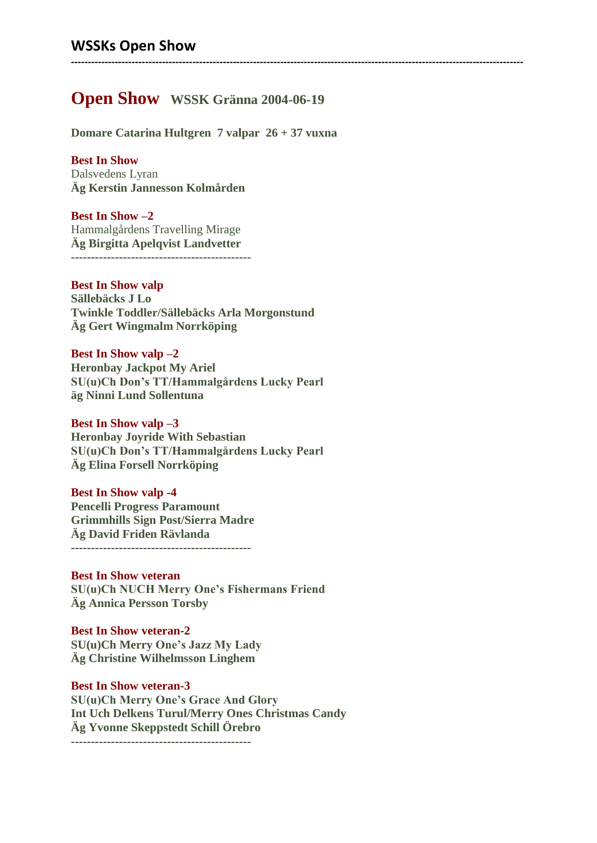# **Open Show WSSK Gränna 2004-06-19**

**--------------------------------------------------------------------------------------------------------------------------------------**

**Domare Catarina Hultgren 7 valpar 26 + 37 vuxna**

**Best In Show** Dalsvedens Lyran **Äg Kerstin Jannesson Kolmården**

**Best In Show –2** Hammalgårdens Travelling Mirage **Äg Birgitta Apelqvist Landvetter ---------------------------------------------**

**Best In Show valp Sällebäcks J Lo Twinkle Toddler/Sällebäcks Arla Morgonstund Äg Gert Wingmalm Norrköping**

**Best In Show valp –2 Heronbay Jackpot My Ariel SU(u)Ch Don's TT/Hammalgårdens Lucky Pearl äg Ninni Lund Sollentuna**

**Best In Show valp –3 Heronbay Joyride With Sebastian SU(u)Ch Don's TT/Hammalgårdens Lucky Pearl Äg Elina Forsell Norrköping**

**Best In Show valp -4 Pencelli Progress Paramount Grimmhills Sign Post/Sierra Madre Äg David Friden Rävlanda ---------------------------------------------**

**Best In Show veteran SU(u)Ch NUCH Merry One's Fishermans Friend Äg Annica Persson Torsby**

**Best In Show veteran-2 SU(u)Ch Merry One's Jazz My Lady Äg Christine Wilhelmsson Linghem**

**Best In Show veteran-3 SU(u)Ch Merry One's Grace And Glory Int Uch Delkens Turul/Merry Ones Christmas Candy Äg Yvonne Skeppstedt Schill Örebro ---------------------------------------------**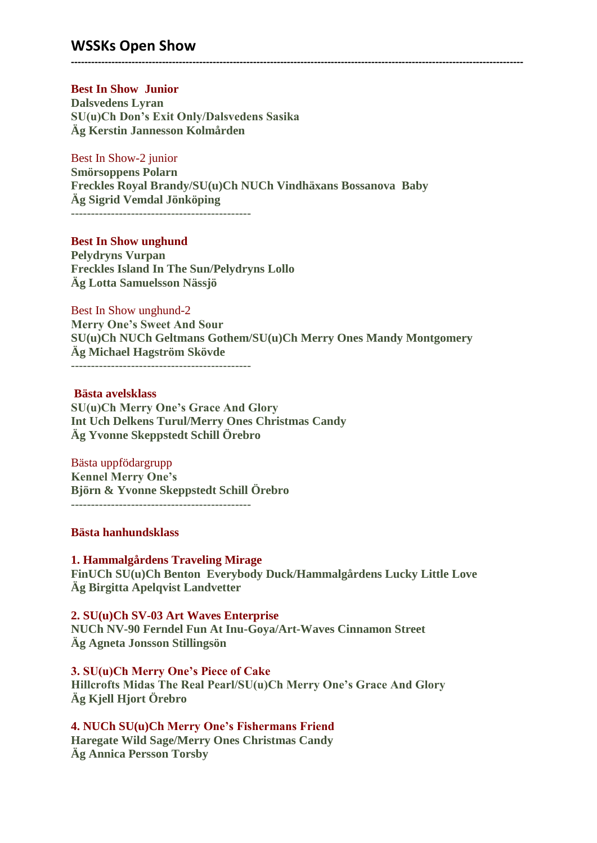## **WSSKs Open Show**

### **Best In Show Junior**

**Dalsvedens Lyran SU(u)Ch Don's Exit Only/Dalsvedens Sasika Äg Kerstin Jannesson Kolmården**

### Best In Show-2 junior

**Smörsoppens Polarn Freckles Royal Brandy/SU(u)Ch NUCh Vindhäxans Bossanova Baby Äg Sigrid Vemdal Jönköping**

**--------------------------------------------------------------------------------------------------------------------------------------**

---------------------------------------------

### **Best In Show unghund**

**Pelydryns Vurpan Freckles Island In The Sun/Pelydryns Lollo Äg Lotta Samuelsson Nässjö**

### Best In Show unghund-2

**Merry One's Sweet And Sour SU(u)Ch NUCh Geltmans Gothem/SU(u)Ch Merry Ones Mandy Montgomery Äg Michael Hagström Skövde**

---------------------------------------------

### **Bästa avelsklass**

**SU(u)Ch Merry One's Grace And Glory Int Uch Delkens Turul/Merry Ones Christmas Candy Äg Yvonne Skeppstedt Schill Örebro**

#### Bästa uppfödargrupp

**Kennel Merry One's Björn & Yvonne Skeppstedt Schill Örebro**

#### **Bästa hanhundsklass**

# **1. Hammalgårdens Traveling Mirage**

**FinUCh SU(u)Ch Benton Everybody Duck/Hammalgårdens Lucky Little Love Äg Birgitta Apelqvist Landvetter**

### **2. SU(u)Ch SV-03 Art Waves Enterprise**

**NUCh NV-90 Ferndel Fun At Inu-Goya/Art-Waves Cinnamon Street Äg Agneta Jonsson Stillingsön**

### **3. SU(u)Ch Merry One's Piece of Cake**

**Hillcrofts Midas The Real Pearl/SU(u)Ch Merry One's Grace And Glory Äg Kjell Hjort Örebro**

# **4. NUCh SU(u)Ch Merry One's Fishermans Friend**

**Haregate Wild Sage/Merry Ones Christmas Candy Äg Annica Persson Torsby**